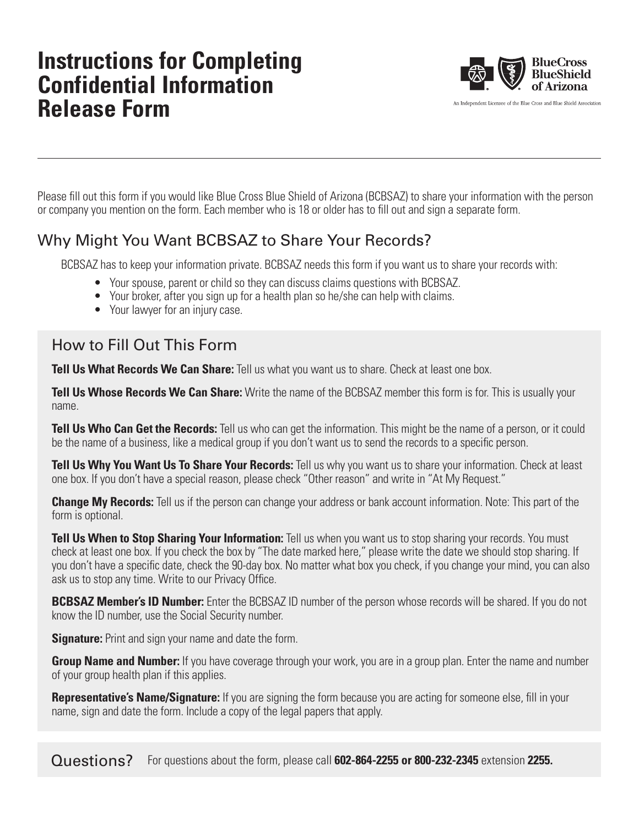# **Instructions for Completing Confidential Information Release Form**



An Independent Licensee of the Blue Cross and Blue Shield Association

Please fill out this form if you would like Blue Cross Blue Shield of Arizona (BCBSAZ) to share your information with the person or company you mention on the form. Each member who is 18 or older has to fill out and sign a separate form.

## Why Might You Want BCBSAZ to Share Your Records?

BCBSAZ has to keep your information private. BCBSAZ needs this form if you want us to share your records with:

- Your spouse, parent or child so they can discuss claims questions with BCBSAZ.
- Your broker, after you sign up for a health plan so he/she can help with claims.
- Your lawyer for an injury case.

## How to Fill Out This Form

**Tell Us What Records We Can Share:** Tell us what you want us to share. Check at least one box.

**Tell Us Whose Records We Can Share:** Write the name of the BCBSAZ member this form is for. This is usually your name.

**Tell Us Who Can Get the Records:** Tell us who can get the information. This might be the name of a person, or it could be the name of a business, like a medical group if you don't want us to send the records to a specific person.

**Tell Us Why You Want Us To Share Your Records:** Tell us why you want us to share your information. Check at least one box. If you don't have a special reason, please check "Other reason" and write in "At My Request."

**Change My Records:** Tell us if the person can change your address or bank account information. Note: This part of the form is optional.

**Tell Us When to Stop Sharing Your Information:** Tell us when you want us to stop sharing your records. You must check at least one box. If you check the box by "The date marked here," please write the date we should stop sharing. If you don't have a specific date, check the 90-day box. No matter what box you check, if you change your mind, you can also ask us to stop any time. Write to our Privacy Office.

**BCBSAZ Member's ID Number:** Enter the BCBSAZ ID number of the person whose records will be shared. If you do not know the ID number, use the Social Security number.

**Signature:** Print and sign your name and date the form.

**Group Name and Number:** If you have coverage through your work, you are in a group plan. Enter the name and number of your group health plan if this applies.

**Representative's Name/Signature:** If you are signing the form because you are acting for someone else, fill in your name, sign and date the form. Include a copy of the legal papers that apply.

Questions? For questions about the form, please call **602-864-2255 or 800-232-2345** extension **2255.**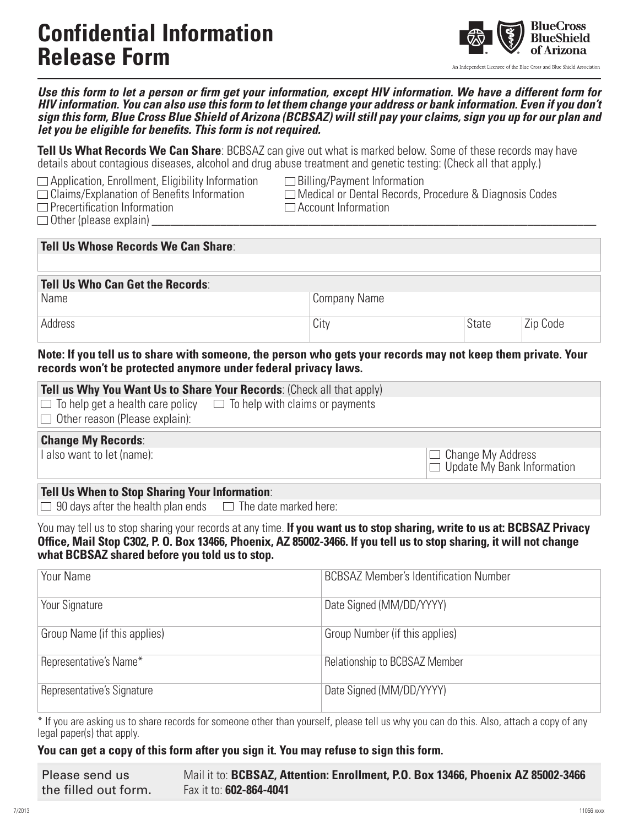# **Confidential Information Release Form**



An Independent Licensee of the Blue Cross and Blue Shield Association

*Use this form to let a person or firm get your information, except HIV information. We have a different form for HIV information. You can also use this form to let them change your address or bank information. Even if you don't sign this form, Blue Cross Blue Shield of Arizona (BCBSAZ) will still pay your claims, sign you up for our plan and let you be eligible for benefits. This form is not required.*

**Tell Us What Records We Can Share**: BCBSAZ can give out what is marked below. Some of these records may have details about contagious diseases, alcohol and drug abuse treatment and genetic testing: (Check all that apply.)

 $\Box$  Application, Enrollment, Eligibility Information  $\Box$  Billing/Payment Information  $\Box$  Claims/Explanation of Benefits Information  $\Box$  Medical or Dental Records, F

 $\Box$  Precertification Information

 $\Box$  Other (please explain)

 $\Box$  Medical or Dental Records, Procedure & Diagnosis Codes  $\Box$  Account Information

| <b>Tell Us Whose Records We Can Share:</b> |              |              |          |
|--------------------------------------------|--------------|--------------|----------|
| Tell Us Who Can Get the Records:<br>Name   | Company Name |              |          |
| Address                                    | City         | <b>State</b> | Zip Code |

### **Note: If you tell us to share with someone, the person who gets your records may not keep them private. Your records won't be protected anymore under federal privacy laws.**

| Tell us Why You Want Us to Share Your Records: (Check all that apply) |                                                                                |                                                               |
|-----------------------------------------------------------------------|--------------------------------------------------------------------------------|---------------------------------------------------------------|
|                                                                       | $\Box$ To help get a health care policy $\Box$ To help with claims or payments |                                                               |
| $\Box$ Other reason (Please explain):                                 |                                                                                |                                                               |
| <b>Change My Records:</b>                                             |                                                                                |                                                               |
| I also want to let (name):                                            |                                                                                | $\Box$ Change My Address<br>$\Box$ Update My Bank Information |

## **Tell Us When to Stop Sharing Your Information**:

 $\Box$  90 days after the health plan ends  $\Box$  The date marked here:

You may tell us to stop sharing your records at any time. **If you want us to stop sharing, write to us at: BCBSAZ Privacy Office, Mail Stop C302, P. O. Box 13466, Phoenix, AZ 85002-3466. If you tell us to stop sharing, it will not change what BCBSAZ shared before you told us to stop.**

| Your Name                    | <b>BCBSAZ Member's Identification Number</b> |
|------------------------------|----------------------------------------------|
| Your Signature               | Date Signed (MM/DD/YYYY)                     |
| Group Name (if this applies) | Group Number (if this applies)               |
| Representative's Name*       | Relationship to BCBSAZ Member                |
| Representative's Signature   | Date Signed (MM/DD/YYYY)                     |

\* If you are asking us to share records for someone other than yourself, please tell us why you can do this. Also, attach a copy of any legal paper(s) that apply.

## **You can get a copy of this form after you sign it. You may refuse to sign this form.**

| Please send us       | Mail it to: BCBSAZ, Attention: Enrollment, P.O. Box 13466, Phoenix AZ 85002-3466 |
|----------------------|----------------------------------------------------------------------------------|
| the filled out form. | Fax it to: 602-864-4041                                                          |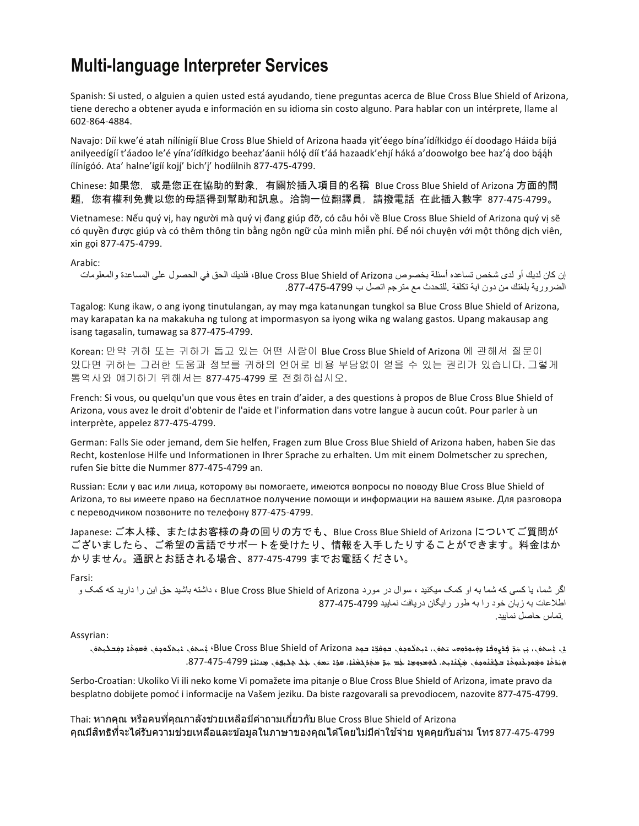# **Multi-language Interpreter Services**

Spanish: Si usted, o alguien a quien usted está ayudando, tiene preguntas acerca de Blue Cross Blue Shield of Arizona, tiene derecho a obtener ayuda e información en su idioma sin costo alguno. Para hablar con un intérprete, llame al 602-864-4884.

Navajo: Díí kwe'é atah nílínigíí Blue Cross Blue Shield of Arizona haada yit'éego bína'ídíłkidgo éí doodago Háida bíjá anilyeedígíí t'áadoo le'é yína'ídíłkidgo beehaz'áanii hóló díí t'áá hazaadk'ehjí háká a'doowołgo bee haz'ą́ doo bą́ąh ílínígóó. Ata' halne'ígíí kojí' bich'i' hodíilnih 877-475-4799.

Chinese: 如果您, 或是您正在協助的對象, 有關於插入項目的名稱 Blue Cross Blue Shield of Arizona 方面的問 題,您有權利免費以您的母語得到幫助和訊息。洽詢一位翻譯員,請撥電話 在此插入數字 877-475-4799。

Vietnamese: Nếu quý vị, hay người mà quý vị đang giúp đỡ, có câu hỏi về Blue Cross Blue Shield of Arizona quý vị sẽ có quyền được giúp và có thêm thông tin bằng ngôn ngữ của mình miễn phí. Để nói chuyện với một thông dịch viên, xin gọi 877-475-4799.

#### Arabic:

إن كان لدیك أو لدى شخص تساعده أسئلة بخصوص Arizona of Shield Blue Cross Blue، فلدیك الحق في الحصول على المساعدة والمعلومات الضروریة بلغتك من دون ایة تكلفة .للتحدث مع مترجم اتصل ب .877-475-4799

Tagalog: Kung ikaw, o ang iyong tinutulangan, ay may mga katanungan tungkol sa Blue Cross Blue Shield of Arizona, may karapatan ka na makakuha ng tulong at impormasyon sa iyong wika ng walang gastos. Upang makausap ang isang tagasalin, tumawag sa 877-475-4799.

Korean: 만약 귀하 또는 귀하가 돕고 있는 어떤 사람이 Blue Cross Blue Shield of Arizona 에 관해서 질문이 있다면 귀하는 그러한 도움과 정보를 귀하의 언어로 비용 부담없이 얻을 수 있는 권리가 있습니다. 그렇게 통역사와 얘기하기 위해서는 877-475-4799 로 전화하십시오.

French: Si vous, ou quelqu'un que vous êtes en train d'aider, a des questions à propos de Blue Cross Blue Shield of Arizona, vous avez le droit d'obtenir de l'aide et l'information dans votre langue à aucun coût. Pour parler à un interprète, appelez 877-475-4799.

German: Falls Sie oder jemand, dem Sie helfen, Fragen zum Blue Cross Blue Shield of Arizona haben, haben Sie das Recht, kostenlose Hilfe und Informationen in Ihrer Sprache zu erhalten. Um mit einem Dolmetscher zu sprechen, rufen Sie bitte die Nummer 877-475-4799 an.

Russian: Если у вас или лица, которому вы помогаете, имеются вопросы по поводу Blue Cross Blue Shield of Arizona, то вы имеете право на бесплатное получение помощи и информации на вашем языке. Для разговора с переводчиком позвоните по телефону 877-475-4799.

Japanese: ご本人様、またはお客様の身の回りの方でも、Blue Cross Blue Shield of Arizona についてご質問が ございましたら、ご希望の言語でサポートを受けたり、情報を入手したりすることができます。料金はか かりません。通訳とお話される場合、877-475-4799 までお電話ください。

#### Farsi:

اگر شما، یا کسی که شما به او کمک میکنید ، سوال در مورد Blue Cross Blue Shield of Arizona ، داشته باشید حق این را دارید که کمک و اطلاعات بھ زبان خود را بھ طور رایگان دریافت نمایید 877-475-4799 .تماس حاصل نمایید.

#### Assyrian:

ِي ِ يُسِهِيْ، نِي هِوَ فِي مِهْدِ وَشِيوفُهِ مِهِمُوْمِس مِهِمْ Blue Cross Blue Shield of Arizona مِعْ دِهِدِ مِهْدِ مِهْدِ مِهْدِمِهِ مِهْدِ مِهْدِمِهِ مِهْدِ مِهْدِمِهِ مِهْدِمِهِ مِهْدِمِهِ مِهْدِمِهِ مِهْدِمِهِ مِهْد ܿ֘֒ ܿܿܿ; ܵܿܿܿ.<br>وَبَنْقَهُمْ مَعْمَوْشُومُهُمْ = كَيْخَتُومُونَ جَيْخَتُومِيْنَ كَوْهُومِيْ بِلَّذِ جَوَّهُوَ مَعْمَدٍ مَعْمَدٍ ܵ ܵܿ $\frac{1}{l}$ ܵ ܵܿܿܿ

Serbo-Croatian: Ukoliko Vi ili neko kome Vi pomažete ima pitanje o Blue Cross Blue Shield of Arizona, imate pravo da besplatno dobijete pomoć i informacije na Vašem jeziku. Da biste razgovarali sa prevodiocem, nazovite 877-475-4799.

Thai: หากคุณ หรือคนที่คุณกาลังช่วยเหลือมีค่าถามเกี่ยวกับ Blue Cross Blue Shield of Arizona คุณมีสิทธิที่จะได้รับความช่วยเหลือและข้อมูลในภาษาของคุณได้โดยไม่มีค่าใช้จ่าย พูดคุยกับล่าม โทร $\,$ 877-475-4799 $\,$